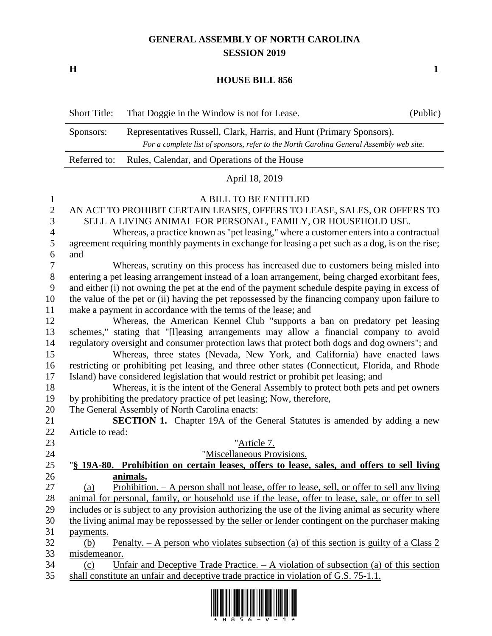## **GENERAL ASSEMBLY OF NORTH CAROLINA SESSION 2019**

**H 1**

## **HOUSE BILL 856**

|                   | <b>Short Title:</b>                                                                              | That Doggie in the Window is not for Lease.                                                        | (Public) |  |  |
|-------------------|--------------------------------------------------------------------------------------------------|----------------------------------------------------------------------------------------------------|----------|--|--|
|                   | Sponsors:                                                                                        | Representatives Russell, Clark, Harris, and Hunt (Primary Sponsors).                               |          |  |  |
|                   | For a complete list of sponsors, refer to the North Carolina General Assembly web site.          |                                                                                                    |          |  |  |
|                   | Referred to:                                                                                     | Rules, Calendar, and Operations of the House                                                       |          |  |  |
|                   |                                                                                                  | April 18, 2019                                                                                     |          |  |  |
|                   |                                                                                                  | A BILL TO BE ENTITLED                                                                              |          |  |  |
| 1<br>$\mathbf{2}$ |                                                                                                  | AN ACT TO PROHIBIT CERTAIN LEASES, OFFERS TO LEASE, SALES, OR OFFERS TO                            |          |  |  |
| 3                 |                                                                                                  | SELL A LIVING ANIMAL FOR PERSONAL, FAMILY, OR HOUSEHOLD USE.                                       |          |  |  |
| $\overline{4}$    |                                                                                                  | Whereas, a practice known as "pet leasing," where a customer enters into a contractual             |          |  |  |
| 5                 |                                                                                                  | agreement requiring monthly payments in exchange for leasing a pet such as a dog, is on the rise;  |          |  |  |
| 6                 | and                                                                                              |                                                                                                    |          |  |  |
| 7                 |                                                                                                  | Whereas, scrutiny on this process has increased due to customers being misled into                 |          |  |  |
| $8\phantom{1}$    |                                                                                                  | entering a pet leasing arrangement instead of a loan arrangement, being charged exorbitant fees,   |          |  |  |
| 9                 |                                                                                                  | and either (i) not owning the pet at the end of the payment schedule despite paying in excess of   |          |  |  |
| 10                | the value of the pet or (ii) having the pet repossessed by the financing company upon failure to |                                                                                                    |          |  |  |
| 11                |                                                                                                  | make a payment in accordance with the terms of the lease; and                                      |          |  |  |
| 12                |                                                                                                  | Whereas, the American Kennel Club "supports a ban on predatory pet leasing                         |          |  |  |
| 13                |                                                                                                  | schemes," stating that "[I]easing arrangements may allow a financial company to avoid              |          |  |  |
| 14                |                                                                                                  | regulatory oversight and consumer protection laws that protect both dogs and dog owners"; and      |          |  |  |
| 15                |                                                                                                  | Whereas, three states (Nevada, New York, and California) have enacted laws                         |          |  |  |
| 16                |                                                                                                  | restricting or prohibiting pet leasing, and three other states (Connecticut, Florida, and Rhode    |          |  |  |
| 17                |                                                                                                  | Island) have considered legislation that would restrict or prohibit pet leasing; and               |          |  |  |
| 18                |                                                                                                  | Whereas, it is the intent of the General Assembly to protect both pets and pet owners              |          |  |  |
| 19                |                                                                                                  | by prohibiting the predatory practice of pet leasing; Now, therefore,                              |          |  |  |
| 20                |                                                                                                  | The General Assembly of North Carolina enacts:                                                     |          |  |  |
| 21                |                                                                                                  | SECTION 1. Chapter 19A of the General Statutes is amended by adding a new                          |          |  |  |
| 22                | Article to read:                                                                                 |                                                                                                    |          |  |  |
| 23                |                                                                                                  | "Article 7.                                                                                        |          |  |  |
| 24                |                                                                                                  | "Miscellaneous Provisions.                                                                         |          |  |  |
| 25                |                                                                                                  | § 19A-80. Prohibition on certain leases, offers to lease, sales, and offers to sell living         |          |  |  |
| 26                |                                                                                                  | animals.                                                                                           |          |  |  |
| 27                | (a)                                                                                              | Prohibition. $- A$ person shall not lease, offer to lease, sell, or offer to sell any living       |          |  |  |
| 28                |                                                                                                  | animal for personal, family, or household use if the lease, offer to lease, sale, or offer to sell |          |  |  |
| 29                |                                                                                                  | includes or is subject to any provision authorizing the use of the living animal as security where |          |  |  |
| 30                |                                                                                                  | the living animal may be repossessed by the seller or lender contingent on the purchaser making    |          |  |  |
| 31                | payments.                                                                                        |                                                                                                    |          |  |  |
| 32                | (b)                                                                                              | Penalty. $- A$ person who violates subsection (a) of this section is guilty of a Class 2           |          |  |  |
| 33<br>34          | misdemeanor.<br>(c)                                                                              | Unfair and Deceptive Trade Practice. $- A$ violation of subsection (a) of this section             |          |  |  |
| 35                |                                                                                                  | shall constitute an unfair and deceptive trade practice in violation of G.S. 75-1.1.               |          |  |  |
|                   |                                                                                                  |                                                                                                    |          |  |  |